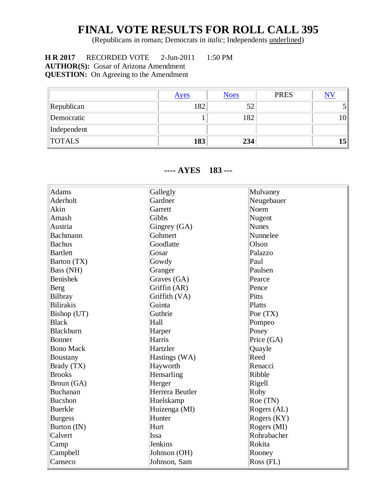## **FINAL VOTE RESULTS FOR ROLL CALL 395**

(Republicans in roman; Democrats in *italic*; Independents underlined)

 **H R 2017** RECORDED VOTE 2-Jun-2011 1:50 PM **AUTHOR(S):** Gosar of Arizona Amendment **QUESTION:** On Agreeing to the Amendment

|               | <u>Ayes</u> | <b>Noes</b> | <b>PRES</b> | $\overline{\text{NV}}$ |
|---------------|-------------|-------------|-------------|------------------------|
| Republican    | 182         | 52          |             |                        |
| Democratic    |             | 182         |             | 10 <sup>1</sup>        |
| Independent   |             |             |             |                        |
| <b>TOTALS</b> | 183         | 234         |             | 15 <sup>′</sup>        |

## **---- AYES 183 ---**

| <b>Adams</b>     | Gallegly        | Mulvaney           |
|------------------|-----------------|--------------------|
| Aderholt         | Gardner         | Neugebauer         |
| Akin             | Garrett         | Noem               |
| Amash            | Gibbs           | Nugent             |
| Austria          | Gingrey (GA)    | <b>Nunes</b>       |
| Bachmann         | Gohmert         | Nunnelee           |
| <b>Bachus</b>    | Goodlatte       | Olson              |
| <b>Bartlett</b>  | Gosar           | Palazzo            |
| Barton (TX)      | Gowdy           | Paul               |
| Bass (NH)        | Granger         | Paulsen            |
| <b>Benishek</b>  | Graves (GA)     | Pearce             |
| Berg             | Griffin (AR)    | Pence              |
| Bilbray          | Griffith (VA)   | Pitts              |
| <b>Bilirakis</b> | Guinta          | Platts             |
| Bishop (UT)      | Guthrie         | Poe $(TX)$         |
| <b>Black</b>     | Hall            | Pompeo             |
| Blackburn        | Harper          | Posey              |
| Bonner           | Harris          | Price (GA)         |
| <b>Bono Mack</b> | Hartzler        | Quayle             |
| <b>Boustany</b>  | Hastings (WA)   | Reed               |
| Brady (TX)       | Hayworth        | Renacci            |
| <b>Brooks</b>    | Hensarling      | Ribble             |
| Broun (GA)       | Herger          | Rigell             |
| <b>Buchanan</b>  | Herrera Beutler | Roby               |
| <b>Bucshon</b>   | Huelskamp       | Roe (TN)           |
| <b>Buerkle</b>   | Huizenga (MI)   | Rogers (AL)        |
| <b>Burgess</b>   | Hunter          | Rogers (KY)        |
| Burton (IN)      | Hurt            | Rogers (MI)        |
| Calvert          | Issa            | Rohrabacher        |
| Camp             | Jenkins         | Rokita             |
| Campbell         | Johnson (OH)    | Rooney             |
| Canseco          | Johnson, Sam    | $\text{Ross (FL)}$ |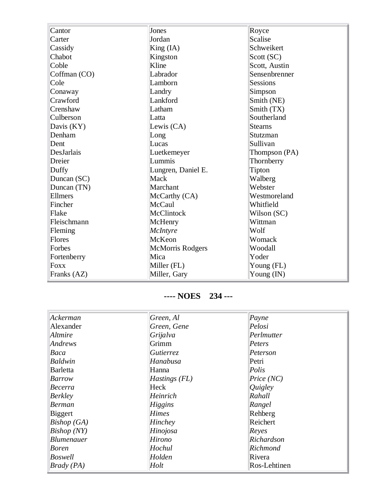| Cantor       | Jones              | Royce         |
|--------------|--------------------|---------------|
| Carter       | Jordan             | Scalise       |
| Cassidy      | King (IA)          | Schweikert    |
| Chabot       | Kingston           | Scott (SC)    |
| Coble        | Kline              | Scott, Austin |
| Coffman (CO) | Labrador           | Sensenbrenner |
| Cole         | Lamborn            | Sessions      |
| Conaway      | Landry             | Simpson       |
| Crawford     | Lankford           | Smith (NE)    |
| Crenshaw     | Latham             | Smith (TX)    |
| Culberson    | Latta              | Southerland   |
| Davis (KY)   | Lewis (CA)         | Stearns       |
| Denham       | Long               | Stutzman      |
| Dent         | Lucas              | Sullivan      |
| DesJarlais   | Luetkemeyer        | Thompson (PA) |
| Dreier       | Lummis             | Thornberry    |
| Duffy        | Lungren, Daniel E. | Tipton        |
| Duncan (SC)  | Mack               | Walberg       |
| Duncan (TN)  | Marchant           | Webster       |
| Ellmers      | McCarthy (CA)      | Westmoreland  |
| Fincher      | McCaul             | Whitfield     |
| Flake        | McClintock         | Wilson (SC)   |
| Fleischmann  | McHenry            | Wittman       |
| Fleming      | McIntyre           | Wolf          |
| Flores       | McKeon             | Womack        |
| Forbes       | McMorris Rodgers   | Woodall       |
| Fortenberry  | Mica               | Yoder         |
| <b>Foxx</b>  | Miller (FL)        | Young (FL)    |
| Franks (AZ)  | Miller, Gary       | Young (IN)    |

## **---- NOES 234 ---**

| Ackerman          | Green, Al       | Payne        |
|-------------------|-----------------|--------------|
| Alexander         | Green, Gene     | Pelosi       |
| Altmire           | Grijalva        | Perlmutter   |
| Andrews           | Grimm           | Peters       |
| Baca              | Gutierrez       | Peterson     |
| Baldwin           | Hanabusa        | Petri        |
| <b>Barletta</b>   | Hanna           | Polis        |
| Barrow            | $Hastings$ (FL) | Price (NC)   |
| Becerra           | Heck            | Quigley      |
| <b>Berkley</b>    | Heinrich        | Rahall       |
| <b>Berman</b>     | Higgins         | Rangel       |
| <b>Biggert</b>    | <b>Himes</b>    | Rehberg      |
| Bishop(GA)        | <i>Hinchey</i>  | Reichert     |
| Bishop(NY)        | Hinojosa        | Reyes        |
| <b>Blumenauer</b> | Hirono          | Richardson   |
| <i>Boren</i>      | Hochul          | Richmond     |
| <b>Boswell</b>    | Holden          | Rivera       |
| Brady(PA)         | Holt            | Ros-Lehtinen |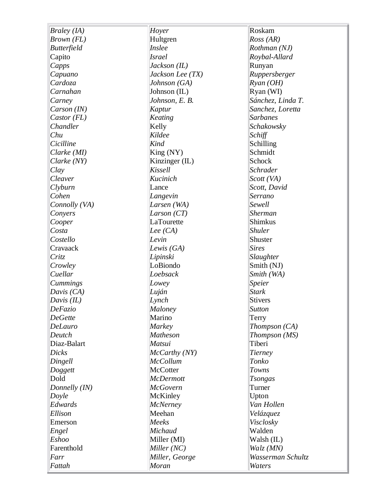| <b>Braley</b> (IA) | Hoyer            | Roskam            |
|--------------------|------------------|-------------------|
| Brown (FL)         | Hultgren         | Ross (AR)         |
| <b>Butterfield</b> | Inslee           | Rothman (NJ)      |
| Capito             | <i>Israel</i>    | Roybal-Allard     |
| Capps              | $Jackson$ (IL)   | Runyan            |
| Capuano            | Jackson Lee (TX) | Ruppersberger     |
| Cardoza            | Johnson (GA)     | $R$ yan (OH)      |
| Carnahan           | Johnson (IL)     | Ryan (WI)         |
| Carney             | Johnson, E. B.   | Sánchez, Linda T. |
| Carson (IN)        | Kaptur           | Sanchez, Loretta  |
| Castor (FL)        | Keating          | <b>Sarbanes</b>   |
| Chandler           | Kelly            | Schakowsky        |
| Chu                | Kildee           | Schiff            |
| Cicilline          | <b>Kind</b>      | Schilling         |
| Clarke (MI)        | King (NY)        | Schmidt           |
| Clarke (NY)        | Kinzinger (IL)   | Schock            |
| Clay               | Kissell          | <b>Schrader</b>   |
| Cleaver            | Kucinich         | Scott (VA)        |
| Clyburn            | Lance            | Scott, David      |
| Cohen              | Langevin         | Serrano           |
| Connolly (VA)      | Larsen (WA)      | Sewell            |
| Conyers            | Larson $(T)$     | Sherman           |
| Cooper             | LaTourette       | Shimkus           |
| Costa              | Lee $(CA)$       | <b>Shuler</b>     |
| Costello           | Levin            | Shuster           |
| Cravaack           | Lewis $(GA)$     | <b>Sires</b>      |
| <b>Critz</b>       | Lipinski         | Slaughter         |
| Crowley            | LoBiondo         | Smith (NJ)        |
| Cuellar            | Loebsack         | Smith (WA)        |
| Cummings           | Lowey            | Speier            |
| Davis (CA)         | Luján            | <b>Stark</b>      |
| Davis $(IL)$       | Lynch            | Stivers           |
| DeFazio            | Maloney          | Sutton            |
| <b>DeGette</b>     | Marino           | Terry             |
| <b>DeLauro</b>     | Markey           | Thompson (CA)     |
| Deutch             | <b>Matheson</b>  | Thompson (MS)     |
| Diaz-Balart        | Matsui           | Tiberi            |
| <b>Dicks</b>       | McCarthy (NY)    | Tierney           |
| Dingell            | <b>McCollum</b>  | Tonko             |
| Doggett            | McCotter         | Towns             |
| Dold               | <b>McDermott</b> | <b>Tsongas</b>    |
| Donnelly (IN)      | <b>McGovern</b>  | Turner            |
| Doyle              | McKinley         | Upton             |
| Edwards            | <b>McNerney</b>  | Van Hollen        |
| Ellison            | Meehan           | Velázquez         |
| Emerson            | Meeks            | Visclosky         |
| Engel              | Michaud          | Walden            |
| Eshoo              | Miller (MI)      | Walsh (IL)        |
| Farenthold         | Miller (NC)      | Walz (MN)         |
| Farr               | Miller, George   | Wasserman Schultz |
| Fattah             | Moran            | Waters            |